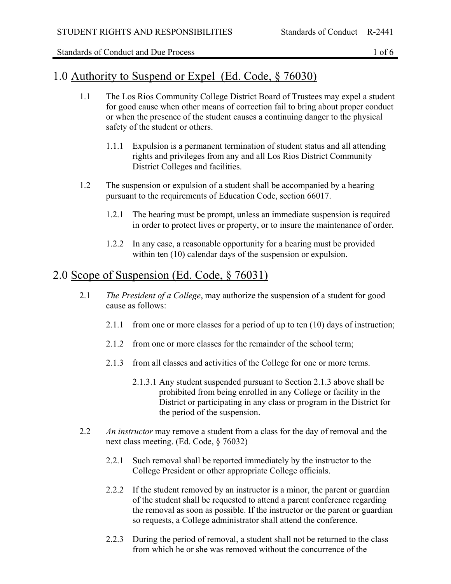Standards of Conduct and Due Process 1 of 6

### 1.0 Authority to Suspend or Expel (Ed. Code, § 76030)

- 1.1 The Los Rios Community College District Board of Trustees may expel a student for good cause when other means of correction fail to bring about proper conduct or when the presence of the student causes a continuing danger to the physical safety of the student or others.
	- 1.1.1 Expulsion is a permanent termination of student status and all attending rights and privileges from any and all Los Rios District Community District Colleges and facilities.
- 1.2 The suspension or expulsion of a student shall be accompanied by a hearing pursuant to the requirements of Education Code, section 66017.
	- 1.2.1 The hearing must be prompt, unless an immediate suspension is required in order to protect lives or property, or to insure the maintenance of order.
	- 1.2.2 In any case, a reasonable opportunity for a hearing must be provided within ten (10) calendar days of the suspension or expulsion.

# 2.0 Scope of Suspension (Ed. Code, § 76031)

- 2.1 *The President of a College*, may authorize the suspension of a student for good cause as follows:
	- 2.1.1 from one or more classes for a period of up to ten (10) days of instruction;
	- 2.1.2 from one or more classes for the remainder of the school term;
	- 2.1.3 from all classes and activities of the College for one or more terms.
		- 2.1.3.1 Any student suspended pursuant to Section 2.1.3 above shall be prohibited from being enrolled in any College or facility in the District or participating in any class or program in the District for the period of the suspension.
- 2.2 *An instructor* may remove a student from a class for the day of removal and the next class meeting. (Ed. Code, § 76032)
	- 2.2.1 Such removal shall be reported immediately by the instructor to the College President or other appropriate College officials.
	- 2.2.2 If the student removed by an instructor is a minor, the parent or guardian of the student shall be requested to attend a parent conference regarding the removal as soon as possible. If the instructor or the parent or guardian so requests, a College administrator shall attend the conference.
	- 2.2.3 During the period of removal, a student shall not be returned to the class from which he or she was removed without the concurrence of the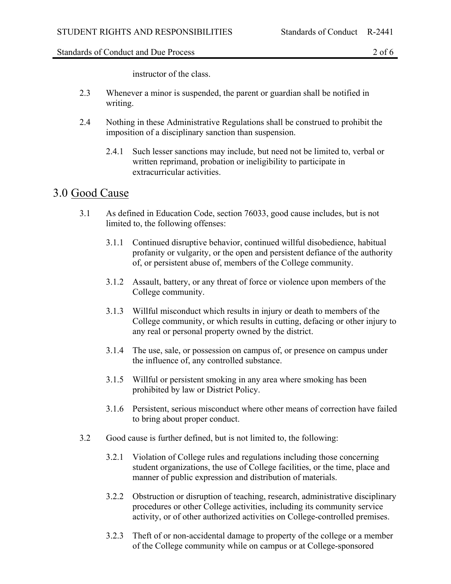#### Standards of Conduct and Due Process 2 of 6

instructor of the class.

- 2.3 Whenever a minor is suspended, the parent or guardian shall be notified in writing.
- 2.4 Nothing in these Administrative Regulations shall be construed to prohibit the imposition of a disciplinary sanction than suspension.
	- 2.4.1 Such lesser sanctions may include, but need not be limited to, verbal or written reprimand, probation or ineligibility to participate in extracurricular activities.

#### 3.0 Good Cause

- 3.1 As defined in Education Code, section 76033, good cause includes, but is not limited to, the following offenses:
	- 3.1.1 Continued disruptive behavior, continued willful disobedience, habitual profanity or vulgarity, or the open and persistent defiance of the authority of, or persistent abuse of, members of the College community.
	- 3.1.2 Assault, battery, or any threat of force or violence upon members of the College community.
	- 3.1.3 Willful misconduct which results in injury or death to members of the College community, or which results in cutting, defacing or other injury to any real or personal property owned by the district.
	- 3.1.4 The use, sale, or possession on campus of, or presence on campus under the influence of, any controlled substance.
	- 3.1.5 Willful or persistent smoking in any area where smoking has been prohibited by law or District Policy.
	- 3.1.6 Persistent, serious misconduct where other means of correction have failed to bring about proper conduct.
- 3.2 Good cause is further defined, but is not limited to, the following:
	- 3.2.1 Violation of College rules and regulations including those concerning student organizations, the use of College facilities, or the time, place and manner of public expression and distribution of materials.
	- 3.2.2 Obstruction or disruption of teaching, research, administrative disciplinary procedures or other College activities, including its community service activity, or of other authorized activities on College-controlled premises.
	- 3.2.3 Theft of or non-accidental damage to property of the college or a member of the College community while on campus or at College-sponsored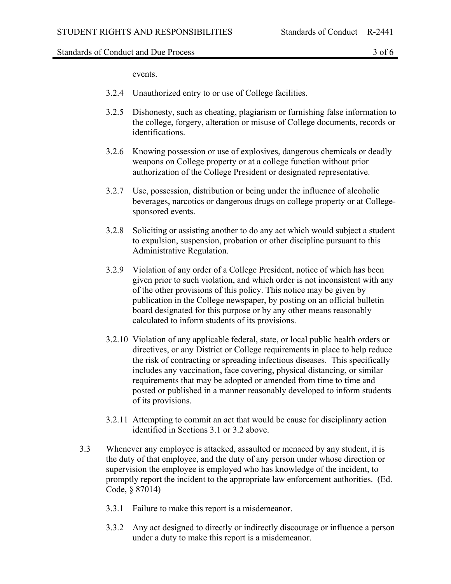#### Standards of Conduct and Due Process 3 of 6

events.

- 3.2.4 Unauthorized entry to or use of College facilities.
- 3.2.5 Dishonesty, such as cheating, plagiarism or furnishing false information to the college, forgery, alteration or misuse of College documents, records or identifications.
- 3.2.6 Knowing possession or use of explosives, dangerous chemicals or deadly weapons on College property or at a college function without prior authorization of the College President or designated representative.
- 3.2.7 Use, possession, distribution or being under the influence of alcoholic beverages, narcotics or dangerous drugs on college property or at Collegesponsored events.
- 3.2.8 Soliciting or assisting another to do any act which would subject a student to expulsion, suspension, probation or other discipline pursuant to this Administrative Regulation.
- 3.2.9 Violation of any order of a College President, notice of which has been given prior to such violation, and which order is not inconsistent with any of the other provisions of this policy. This notice may be given by publication in the College newspaper, by posting on an official bulletin board designated for this purpose or by any other means reasonably calculated to inform students of its provisions.
- 3.2.10 Violation of any applicable federal, state, or local public health orders or directives, or any District or College requirements in place to help reduce the risk of contracting or spreading infectious diseases. This specifically includes any vaccination, face covering, physical distancing, or similar requirements that may be adopted or amended from time to time and posted or published in a manner reasonably developed to inform students of its provisions.
- 3.2.11 Attempting to commit an act that would be cause for disciplinary action identified in Sections 3.1 or 3.2 above.
- 3.3 Whenever any employee is attacked, assaulted or menaced by any student, it is the duty of that employee, and the duty of any person under whose direction or supervision the employee is employed who has knowledge of the incident, to promptly report the incident to the appropriate law enforcement authorities. (Ed. Code, § 87014)
	- 3.3.1 Failure to make this report is a misdemeanor.
	- 3.3.2 Any act designed to directly or indirectly discourage or influence a person under a duty to make this report is a misdemeanor.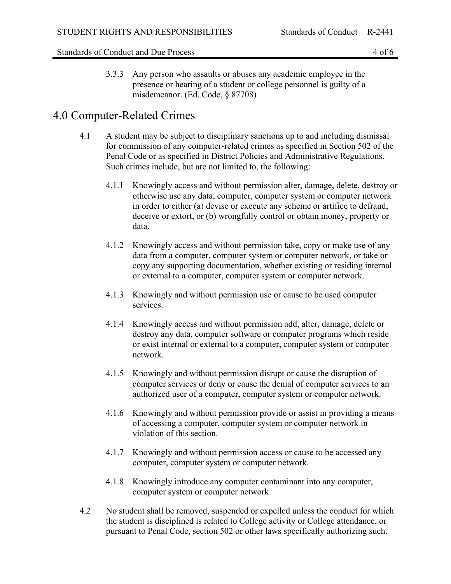#### Standards of Conduct and Due Process 4 of 6

3.3.3 Any person who assaults or abuses any academic employee in the presence or hearing of a student or college personnel is guilty of a misdemeanor. (Ed. Code, § 87708)

### 4.0 Computer-Related Crimes

- 4.1 A student may be subject to disciplinary sanctions up to and including dismissal for commission of any computer-related crimes as specified in Section 502 of the Penal Code or as specified in District Policies and Administrative Regulations. Such crimes include, but are not limited to, the following:
	- 4.1.1 Knowingly access and without permission alter, damage, delete, destroy or otherwise use any data, computer, computer system or computer network in order to either (a) devise or execute any scheme or artifice to defraud, deceive or extort, or (b) wrongfully control or obtain money, property or data.
	- 4.1.2 Knowingly access and without permission take, copy or make use of any data from a computer, computer system or computer network, or take or copy any supporting documentation, whether existing or residing internal or external to a computer, computer system or computer network.
	- 4.1.3 Knowingly and without permission use or cause to be used computer services.
	- 4.1.4 Knowingly access and without permission add, alter, damage, delete or destroy any data, computer software or computer programs which reside or exist internal or external to a computer, computer system or computer network.
	- 4.1.5 Knowingly and without permission disrupt or cause the disruption of computer services or deny or cause the denial of computer services to an authorized user of a computer, computer system or computer network.
	- 4.1.6 Knowingly and without permission provide or assist in providing a means of accessing a computer, computer system or computer network in violation of this section.
	- 4.1.7 Knowingly and without permission access or cause to be accessed any computer, computer system or computer network.
	- 4.1.8 Knowingly introduce any computer contaminant into any computer, computer system or computer network.
- 4.2 No student shall be removed, suspended or expelled unless the conduct for which the student is disciplined is related to College activity or College attendance, or pursuant to Penal Code, section 502 or other laws specifically authorizing such.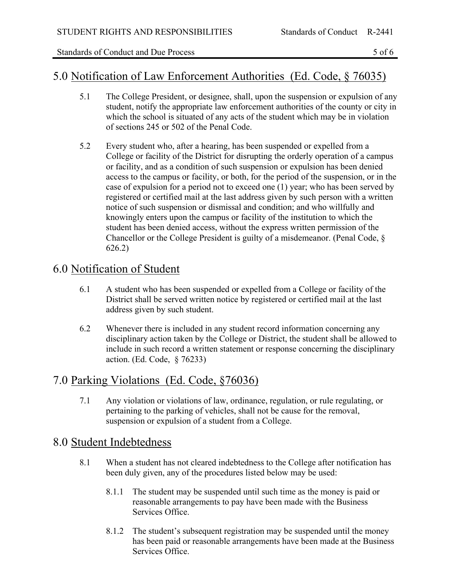Standards of Conduct and Due Process 5 of 6

### 5.0 Notification of Law Enforcement Authorities (Ed. Code, § 76035)

- 5.1 The College President, or designee, shall, upon the suspension or expulsion of any student, notify the appropriate law enforcement authorities of the county or city in which the school is situated of any acts of the student which may be in violation of sections 245 or 502 of the Penal Code.
- 5.2 Every student who, after a hearing, has been suspended or expelled from a College or facility of the District for disrupting the orderly operation of a campus or facility, and as a condition of such suspension or expulsion has been denied access to the campus or facility, or both, for the period of the suspension, or in the case of expulsion for a period not to exceed one (1) year; who has been served by registered or certified mail at the last address given by such person with a written notice of such suspension or dismissal and condition; and who willfully and knowingly enters upon the campus or facility of the institution to which the student has been denied access, without the express written permission of the Chancellor or the College President is guilty of a misdemeanor. (Penal Code, § 626.2)

# 6.0 Notification of Student

- 6.1 A student who has been suspended or expelled from a College or facility of the District shall be served written notice by registered or certified mail at the last address given by such student.
- 6.2 Whenever there is included in any student record information concerning any disciplinary action taken by the College or District, the student shall be allowed to include in such record a written statement or response concerning the disciplinary action. (Ed. Code, § 76233)

# 7.0 Parking Violations (Ed. Code, §76036)

7.1 Any violation or violations of law, ordinance, regulation, or rule regulating, or pertaining to the parking of vehicles, shall not be cause for the removal, suspension or expulsion of a student from a College.

# 8.0 Student Indebtedness

- 8.1 When a student has not cleared indebtedness to the College after notification has been duly given, any of the procedures listed below may be used:
	- 8.1.1 The student may be suspended until such time as the money is paid or reasonable arrangements to pay have been made with the Business Services Office.
	- 8.1.2 The student's subsequent registration may be suspended until the money has been paid or reasonable arrangements have been made at the Business Services Office.